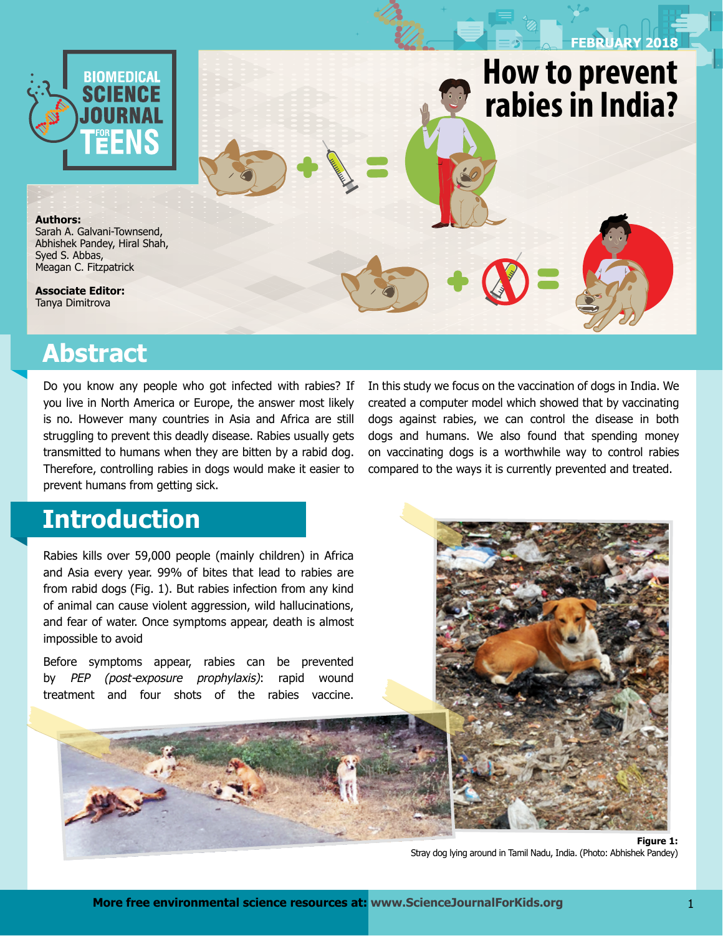

Syed S. Abbas, Meagan C. Fitzpatrick Lara LaDage, Timothy Roth II, Cynthia Downs, **Authors:** Sarah A. Galvani-Townsend, Abhishek Pandey, Hiral Shah,

**Associate Editor: Associate Editors:**  Tanya Dimitrova

## **Abstract**

Do you know any people who got infected with rabies? If you live in North America or Europe, the answer most likely is no. However many countries in Asia and Africa are still struggling to prevent this deadly disease. Rabies usually gets transmitted to humans when they are bitten by a rabid dog. Therefore, controlling rabies in dogs would make it easier to prevent humans from getting sick.

#### In this study we focus on the vaccination of dogs in India. We created a computer model which showed that by vaccinating dogs against rabies, we can control the disease in both dogs and humans. We also found that spending money on vaccinating dogs is a worthwhile way to control rabies compared to the ways it is currently prevented and treated.

**How to prevent** 

**DECEMBER 2017 FEBRUARY 2018**

**to change size? rabies in India?**

# **Introduction**

Rabies kills over 59,000 people (mainly children) in Africa and Asia every year. 99% of bites that lead to rabies are from rabid dogs (Fig. 1). But rabies infection from any kind of animal can cause violent aggression, wild hallucinations, and fear of water. Once symptoms appear, death is almost impossible to avoid

Before symptoms appear, rabies can be prevented by *PEP (post-exposure prophylaxis)*: rapid wound treatment and four shots of the rabies vaccine.



Stray dog lying around in Tamil Nadu, India. (Photo: Abhishek Pandey)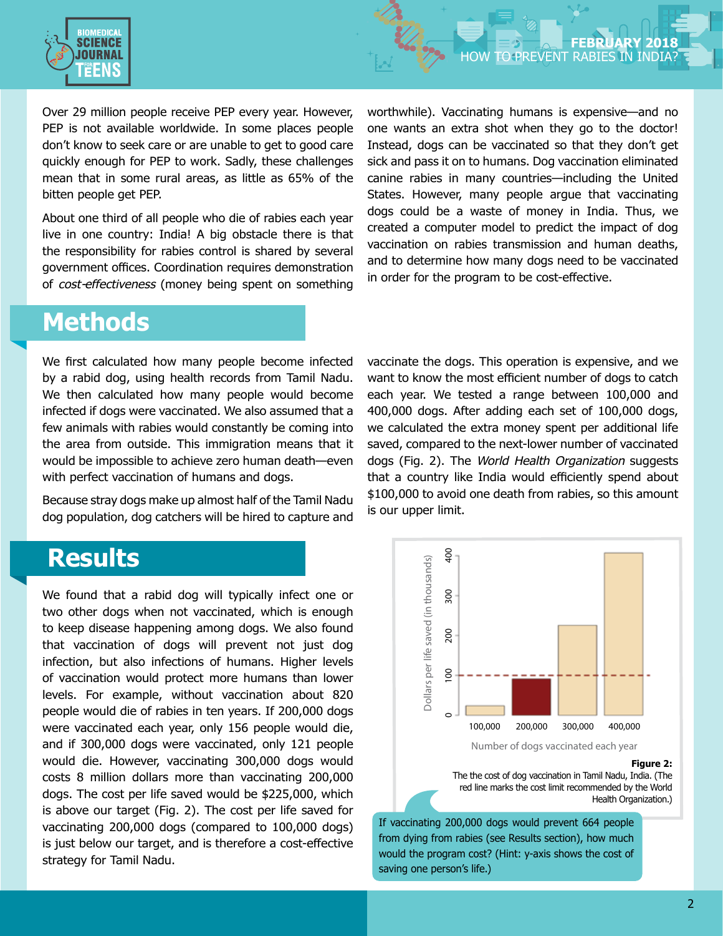

Over 29 million people receive PEP every year. However, PEP is not available worldwide. In some places people don't know to seek care or are unable to get to good care quickly enough for PEP to work. Sadly, these challenges mean that in some rural areas, as little as 65% of the bitten people get PEP.

About one third of all people who die of rabies each year live in one country: India! A big obstacle there is that the responsibility for rabies control is shared by several government offices. Coordination requires demonstration of *cost-effectiveness* (money being spent on something worthwhile). Vaccinating humans is expensive—and no one wants an extra shot when they go to the doctor! Instead, dogs can be vaccinated so that they don't get sick and pass it on to humans. Dog vaccination eliminated canine rabies in many countries—including the United States. However, many people argue that vaccinating dogs could be a waste of money in India. Thus, we created a computer model to predict the impact of dog vaccination on rabies transmission and human deaths, and to determine how many dogs need to be vaccinated in order for the program to be cost-effective.

## **Methods**

We first calculated how many people become infected by a rabid dog, using health records from Tamil Nadu. We then calculated how many people would become infected if dogs were vaccinated. We also assumed that a few animals with rabies would constantly be coming into the area from outside. This immigration means that it would be impossible to achieve zero human death—even with perfect vaccination of humans and dogs.

Because stray dogs make up almost half of the Tamil Nadu dog population, dog catchers will be hired to capture and

## **Results**

We found that a rabid dog will typically infect one or two other dogs when not vaccinated, which is enough to keep disease happening among dogs. We also found that vaccination of dogs will prevent not just dog infection, but also infections of humans. Higher levels of vaccination would protect more humans than lower levels. For example, without vaccination about 820 people would die of rabies in ten years. If 200,000 dogs were vaccinated each year, only 156 people would die, and if 300,000 dogs were vaccinated, only 121 people would die. However, vaccinating 300,000 dogs would costs 8 million dollars more than vaccinating 200,000 dogs. The cost per life saved would be \$225,000, which is above our target (Fig. 2). The cost per life saved for vaccinating 200,000 dogs (compared to 100,000 dogs) is just below our target, and is therefore a cost-effective strategy for Tamil Nadu.

vaccinate the dogs. This operation is expensive, and we want to know the most efficient number of dogs to catch each year. We tested a range between 100,000 and 400,000 dogs. After adding each set of 100,000 dogs, we calculated the extra money spent per additional life saved, compared to the next-lower number of vaccinated dogs (Fig. 2). The *World Health Organization* suggests that a country like India would efficiently spend about \$100,000 to avoid one death from rabies, so this amount is our upper limit.



Number of dogs vaccinated each year

**Figure 2:**

The the cost of dog vaccination in Tamil Nadu, India. (The red line marks the cost limit recommended by the World Health Organization.)

If vaccinating 200,000 dogs would prevent 664 people from dying from rabies (see Results section), how much would the program cost? (Hint: y-axis shows the cost of saving one person's life.)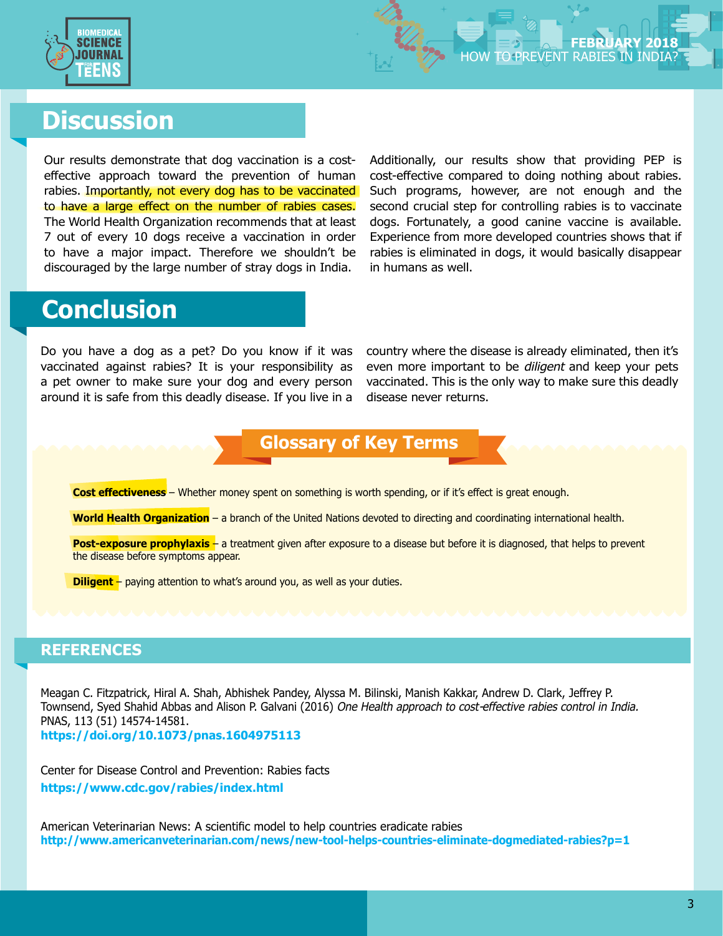

# **Discussion**

Our results demonstrate that dog vaccination is a costeffective approach toward the prevention of human rabies. Importantly, not every dog has to be vaccinated to have a large effect on the number of rabies cases. The World Health Organization recommends that at least 7 out of every 10 dogs receive a vaccination in order to have a major impact. Therefore we shouldn't be discouraged by the large number of stray dogs in India.

Additionally, our results show that providing PEP is cost-effective compared to doing nothing about rabies. Such programs, however, are not enough and the second crucial step for controlling rabies is to vaccinate dogs. Fortunately, a good canine vaccine is available. Experience from more developed countries shows that if rabies is eliminated in dogs, it would basically disappear in humans as well.

# **Conclusion**

Do you have a dog as a pet? Do you know if it was vaccinated against rabies? It is your responsibility as a pet owner to make sure your dog and every person around it is safe from this deadly disease. If you live in a country where the disease is already eliminated, then it's even more important to be *diligent* and keep your pets vaccinated. This is the only way to make sure this deadly disease never returns.

#### **Glossary of Key Terms**

**Cost effectiveness** – Whether money spent on something is worth spending, or if it's effect is great enough.

**World Health Organization** – a branch of the United Nations devoted to directing and coordinating international health.

**Post-exposure prophylaxis** – a treatment given after exposure to a disease but before it is diagnosed, that helps to prevent the disease before symptoms appear.

**Diligent** – paying attention to what's around you, as well as your duties.

#### **REFERENCES**

Meagan C. Fitzpatrick, Hiral A. Shah, Abhishek Pandey, Alyssa M. Bilinski, Manish Kakkar, Andrew D. Clark, Jeffrey P. Townsend, Syed Shahid Abbas and Alison P. Galvani (2016) *One Health approach to cost-effective rabies control in India.*  PNAS, 113 (51) 14574-14581.

**https://doi.org/10.1073/pnas.1604975113**

Center for Disease Control and Prevention: Rabies facts **https://www.cdc.gov/rabies/index.html** 

American Veterinarian News: A scientific model to help countries eradicate rabies **http://www.americanveterinarian.com/news/new-tool-helps-countries-eliminate-dogmediated-rabies?p=1**